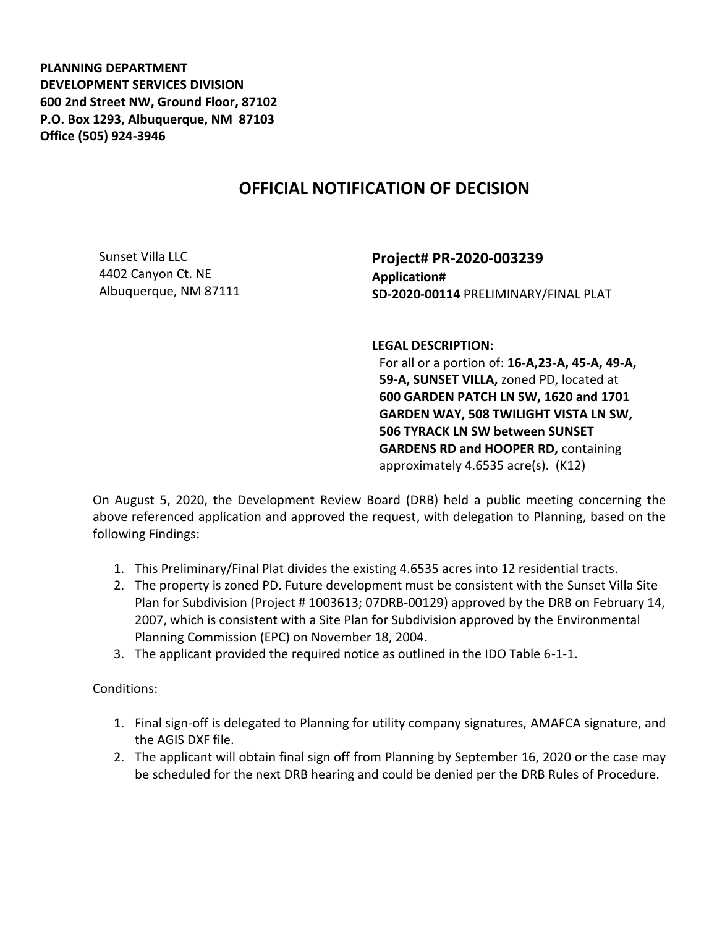**PLANNING DEPARTMENT DEVELOPMENT SERVICES DIVISION 600 2nd Street NW, Ground Floor, 87102 P.O. Box 1293, Albuquerque, NM 87103 Office (505) 924-3946** 

## **OFFICIAL NOTIFICATION OF DECISION**

Sunset Villa LLC 4402 Canyon Ct. NE Albuquerque, NM 87111

**Project# PR-2020-003239 Application# SD-2020-00114** PRELIMINARY/FINAL PLAT

**LEGAL DESCRIPTION:**

For all or a portion of: **16-A,23-A, 45-A, 49-A, 59-A, SUNSET VILLA,** zoned PD, located at **600 GARDEN PATCH LN SW, 1620 and 1701 GARDEN WAY, 508 TWILIGHT VISTA LN SW, 506 TYRACK LN SW between SUNSET GARDENS RD and HOOPER RD,** containing approximately 4.6535 acre(s). (K12)

On August 5, 2020, the Development Review Board (DRB) held a public meeting concerning the above referenced application and approved the request, with delegation to Planning, based on the following Findings:

- 1. This Preliminary/Final Plat divides the existing 4.6535 acres into 12 residential tracts.
- 2. The property is zoned PD. Future development must be consistent with the Sunset Villa Site Plan for Subdivision (Project # 1003613; 07DRB-00129) approved by the DRB on February 14, 2007, which is consistent with a Site Plan for Subdivision approved by the Environmental Planning Commission (EPC) on November 18, 2004.
- 3. The applicant provided the required notice as outlined in the IDO Table 6-1-1.

Conditions:

- 1. Final sign-off is delegated to Planning for utility company signatures, AMAFCA signature, and the AGIS DXF file.
- 2. The applicant will obtain final sign off from Planning by September 16, 2020 or the case may be scheduled for the next DRB hearing and could be denied per the DRB Rules of Procedure.